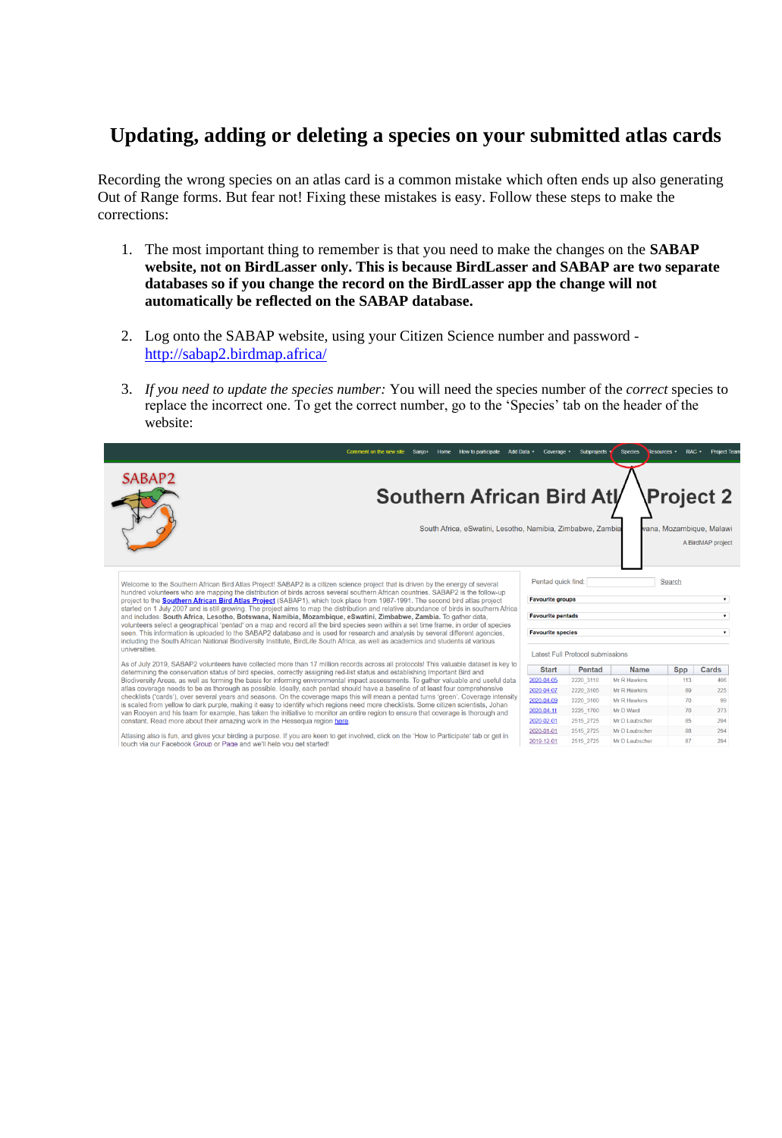## **Updating, adding or deleting a species on your submitted atlas cards**

Recording the wrong species on an atlas card is a common mistake which often ends up also generating Out of Range forms. But fear not! Fixing these mistakes is easy. Follow these steps to make the corrections:

- 1. The most important thing to remember is that you need to make the changes on the **SABAP website, not on BirdLasser only. This is because BirdLasser and SABAP are two separate databases so if you change the record on the BirdLasser app the change will not automatically be reflected on the SABAP database.**
- 2. Log onto the SABAP website, using your Citizen Science number and password <http://sabap2.birdmap.africa/>
- 3. *If you need to update the species number:* You will need the species number of the *correct* species to replace the incorrect one. To get the correct number, go to the 'Species' tab on the header of the website:



2019-12-01

2515\_2725

Mr D Laubscher

87

294

Atlasing also is fun, and gives your birding a purpose. If you are keen to get involved, click on the 'How to Participate' tab or get in<br>touch via our Facebook Group or Page and we'll help vou get started!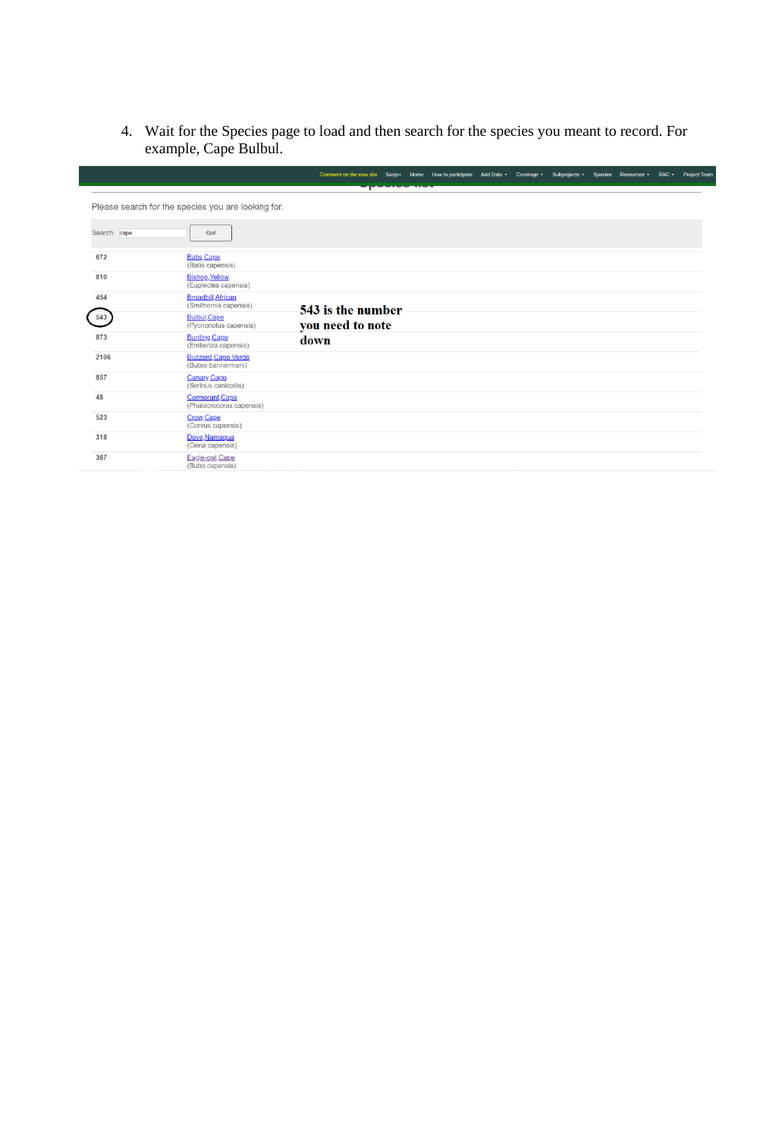4. Wait for the Species page to load and then search for the species you meant to record. For example, Cape Bulbul.

|      |              |                                                    | Comment on the new site Sanjo+ Home How to participate Add Data . Coverage . Subprojects . Species Resources . RAC . Project Team |                   |  |  |  |  |  |
|------|--------------|----------------------------------------------------|-----------------------------------------------------------------------------------------------------------------------------------|-------------------|--|--|--|--|--|
|      |              |                                                    |                                                                                                                                   | <b>The Change</b> |  |  |  |  |  |
|      |              | Please search for the species you are looking for. |                                                                                                                                   |                   |  |  |  |  |  |
|      | Search: cape | Gol                                                |                                                                                                                                   |                   |  |  |  |  |  |
| 672  |              | Batis, Cape<br>(Batis capensis)                    |                                                                                                                                   |                   |  |  |  |  |  |
| 810  |              | <b>Bishop, Yellow</b><br>(Euplectes capensis)      |                                                                                                                                   |                   |  |  |  |  |  |
| 454  |              | <b>Broadbill, African</b><br>(Smithornis capensis) | 543 is the number                                                                                                                 |                   |  |  |  |  |  |
| 543  |              | <b>Bulbul, Cape</b><br>(Pycnonotus capensis)       | you need to note                                                                                                                  |                   |  |  |  |  |  |
| 873  |              | <b>Bunting Cape</b><br>(Emberiza capensis)         | down                                                                                                                              |                   |  |  |  |  |  |
| 2106 |              | <b>Buzzard, Cape Verde</b><br>(Buteo bannermani)   |                                                                                                                                   |                   |  |  |  |  |  |
| 857  |              | Canary.Cape<br>(Serinus canicollis)                |                                                                                                                                   |                   |  |  |  |  |  |
| 48   |              | Cormorant, Cape<br>(Phalacrocorax capensis)        |                                                                                                                                   |                   |  |  |  |  |  |
| 523  |              | Crow, Cape<br>(Corvus capensis)                    |                                                                                                                                   |                   |  |  |  |  |  |
| 318  |              | Dove, Namaqua<br>(Oena capensis)                   |                                                                                                                                   |                   |  |  |  |  |  |
| 367  |              | Eagle-owl.Cape<br>(Bubo capensis)                  |                                                                                                                                   |                   |  |  |  |  |  |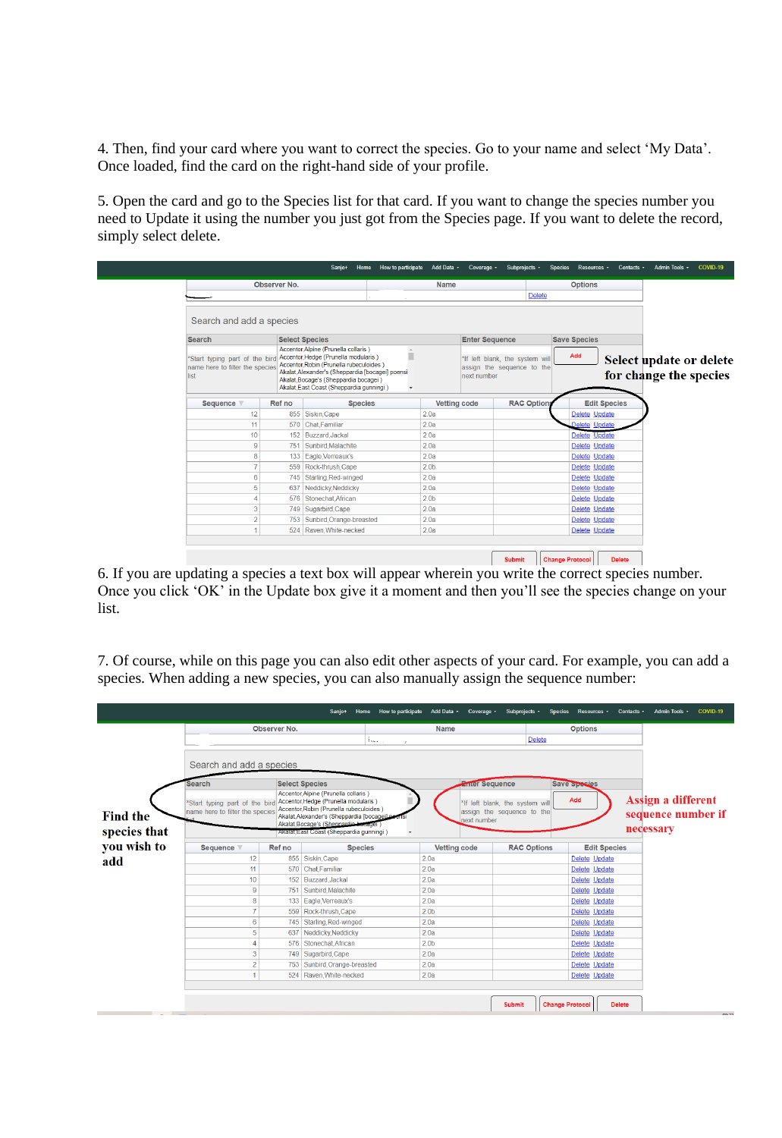4. Then, find your card where you want to correct the species. Go to your name and select 'My Data'. Once loaded, find the card on the right-hand side of your profile.

5. Open the card and go to the Species list for that card. If you want to change the species number you need to Update it using the number you just got from the Species page. If you want to delete the record, simply select delete.

|                                                                           |                 | Sanjo+<br>Home                                                                                                                                                                                                                                                       | How to participate Add Data · Coverage · |                  |                                                                              | Subprojects * | <b>Species</b>         | Resources *         | Contacts .    | Admin Tools +                                     | COVID-19 |
|---------------------------------------------------------------------------|-----------------|----------------------------------------------------------------------------------------------------------------------------------------------------------------------------------------------------------------------------------------------------------------------|------------------------------------------|------------------|------------------------------------------------------------------------------|---------------|------------------------|---------------------|---------------|---------------------------------------------------|----------|
|                                                                           | Observer No.    |                                                                                                                                                                                                                                                                      |                                          | <b>Name</b>      |                                                                              |               |                        | <b>Options</b>      |               |                                                   |          |
|                                                                           |                 |                                                                                                                                                                                                                                                                      |                                          |                  |                                                                              | <b>Delete</b> |                        |                     |               |                                                   |          |
| Search and add a species                                                  |                 |                                                                                                                                                                                                                                                                      |                                          |                  |                                                                              |               |                        |                     |               |                                                   |          |
| <b>Search</b>                                                             |                 | <b>Select Species</b>                                                                                                                                                                                                                                                | <b>Enter Sequence</b>                    |                  |                                                                              |               | <b>Save Species</b>    |                     |               |                                                   |          |
| *Start typing part of the bird<br>name here to filter the species<br>list |                 | Accentor, Alpine (Prunella collaris)<br>ш<br>Accentor, Hedge (Prunella modularis)<br>Accentor Robin (Prunella rubeculoides)<br>Akalat, Alexander's (Sheppardia [bocagei] poensi<br>Akalat, Bocage's (Sheppardia bocagei)<br>Akalat, East Coast (Sheppardia gunningi) |                                          |                  | *If left blank, the system will<br>assign the sequence to the<br>next number |               |                        | Add                 |               | Select update or delete<br>for change the species |          |
| Sequence                                                                  | Ref no          |                                                                                                                                                                                                                                                                      | <b>Vetting code</b><br><b>Species</b>    |                  | <b>RAC Options</b>                                                           |               |                        | <b>Edit Species</b> |               |                                                   |          |
| 12                                                                        | 855 Siskin Cape |                                                                                                                                                                                                                                                                      | 2.0a                                     |                  |                                                                              |               |                        | Delete Update       |               |                                                   |          |
| 11                                                                        |                 | 570 Chat Familiar                                                                                                                                                                                                                                                    |                                          | 2.0a             |                                                                              |               |                        | Delete Update       |               |                                                   |          |
| 10                                                                        |                 | 152 Buzzard Jackal                                                                                                                                                                                                                                                   |                                          | 2.0a             |                                                                              |               |                        | Delete Update       |               |                                                   |          |
| 9                                                                         |                 | 751 Sunbird, Malachite                                                                                                                                                                                                                                               |                                          | 2.0a             |                                                                              |               |                        | Delete Update       |               |                                                   |          |
| 8                                                                         |                 | 133 Eagle, Verreaux's                                                                                                                                                                                                                                                |                                          | 2.0a             |                                                                              |               |                        | Delete Update       |               |                                                   |          |
| 7                                                                         |                 | 559 Rock-thrush Cape                                                                                                                                                                                                                                                 |                                          | 2.0 <sub>b</sub> |                                                                              |               |                        | Delete Update       |               |                                                   |          |
| $6\phantom{1}6$                                                           |                 | 745 Starling Red-winged                                                                                                                                                                                                                                              |                                          | 2.0a             |                                                                              |               |                        | Delete Update       |               |                                                   |          |
| 5                                                                         | 637             | Neddicky Neddicky                                                                                                                                                                                                                                                    |                                          | 2.0a             |                                                                              |               |                        | Delete Update       |               |                                                   |          |
| $\overline{A}$                                                            |                 | 576 Stonechat.African                                                                                                                                                                                                                                                |                                          | 2.0 <sub>b</sub> |                                                                              |               |                        | Delete Update       |               |                                                   |          |
| 3                                                                         |                 | 749   Sugarbird Cape                                                                                                                                                                                                                                                 |                                          | 2.0a             |                                                                              |               |                        | Delete Update       |               |                                                   |          |
| $\overline{2}$                                                            |                 | 753   Sunbird.Orange-breasted                                                                                                                                                                                                                                        |                                          | 2.0a             |                                                                              |               |                        | Delete Update       |               |                                                   |          |
| $\overline{4}$                                                            |                 | 2.0a<br>524 Raven, White-necked                                                                                                                                                                                                                                      |                                          |                  |                                                                              |               |                        | Delete Update       |               |                                                   |          |
|                                                                           |                 |                                                                                                                                                                                                                                                                      |                                          |                  |                                                                              |               |                        |                     |               |                                                   |          |
|                                                                           |                 |                                                                                                                                                                                                                                                                      |                                          |                  |                                                                              | <b>Submit</b> | <b>Change Protocol</b> |                     | <b>Delete</b> |                                                   |          |

6. If you are updating a species a text box will appear wherein you write the correct species number. Once you click 'OK' in the Update box give it a moment and then you'll see the species change on your list.

7. Of course, while on this page you can also edit other aspects of your card. For example, you can add a species. When adding a new species, you can also manually assign the sequence number:

|                                 |                                                                                                        |                         | Sanjo+<br>Home                                                                                                                                                                                                  | How to participate Add Data · Coverage · |                  |  | Subprojects +                                                        | Species                | Resources •   | Contacts +    | Admin Tools +                                         | COVID-19 |  |
|---------------------------------|--------------------------------------------------------------------------------------------------------|-------------------------|-----------------------------------------------------------------------------------------------------------------------------------------------------------------------------------------------------------------|------------------------------------------|------------------|--|----------------------------------------------------------------------|------------------------|---------------|---------------|-------------------------------------------------------|----------|--|
|                                 | Observer No.                                                                                           |                         |                                                                                                                                                                                                                 | <b>Name</b>                              |                  |  | <b>Options</b>                                                       |                        |               |               |                                                       |          |  |
|                                 |                                                                                                        |                         |                                                                                                                                                                                                                 | الوارد المتحلة                           |                  |  | <b>Delete</b>                                                        |                        |               |               |                                                       |          |  |
|                                 | Search and add a species                                                                               |                         |                                                                                                                                                                                                                 |                                          |                  |  |                                                                      |                        |               |               |                                                       |          |  |
|                                 | <b>Select Species</b><br>Search                                                                        |                         |                                                                                                                                                                                                                 | <b>Emer Sequence</b>                     |                  |  |                                                                      |                        | Save Species  |               |                                                       |          |  |
| <b>Find the</b><br>species that | *Start typing part of the bird Accentor, Hedge (Prunella modularis)<br>name here to filter the species |                         | Accentor.Alpine (Prunella collaris)<br>Accentor, Robin (Prunella rubeculoides)<br>Akalat Alexander's (Sheppardia [bocageila<br>Akalat, Bocage's (Shennardia bocager)<br>Akalat East Coast (Sheppardia gunningi) | next number                              |                  |  | Add<br>*If left blank, the system will<br>assign the sequence to the |                        |               |               | Assign a different<br>sequence number if<br>necessary |          |  |
| you wish to                     | <b>Sequence</b><br>Ref no                                                                              |                         | <b>Species</b>                                                                                                                                                                                                  | <b>Vetting code</b>                      |                  |  | <b>RAC Options</b><br><b>Edit Species</b>                            |                        |               |               |                                                       |          |  |
| add                             | 12                                                                                                     | 855 Siskin, Cape        |                                                                                                                                                                                                                 | 2.0a                                     |                  |  | Delete Update                                                        |                        |               |               |                                                       |          |  |
|                                 | 11                                                                                                     | 570 Chat Familiar       |                                                                                                                                                                                                                 | 2.0a                                     |                  |  |                                                                      |                        | Delete Update |               |                                                       |          |  |
|                                 | 10                                                                                                     | 152 Buzzard Jackal      |                                                                                                                                                                                                                 |                                          | 2.0a             |  |                                                                      |                        | Delete Update |               |                                                       |          |  |
|                                 | $\overline{9}$                                                                                         | 751   Sunbird Malachite |                                                                                                                                                                                                                 |                                          | 2.0a             |  |                                                                      |                        | Delete Update |               |                                                       |          |  |
|                                 | 8                                                                                                      |                         | 133 Eagle, Verreaux's                                                                                                                                                                                           | 2.0a                                     |                  |  |                                                                      |                        | Delete Update |               |                                                       |          |  |
|                                 | $\overline{7}$                                                                                         |                         | 559 Rock-thrush Cape                                                                                                                                                                                            | 2.0 <sub>b</sub>                         |                  |  |                                                                      |                        | Delete Update |               |                                                       |          |  |
|                                 | 6                                                                                                      |                         | 745   Starling Red-winged                                                                                                                                                                                       |                                          | 2.0a             |  | Delete Update                                                        |                        |               |               |                                                       |          |  |
|                                 | 5                                                                                                      |                         | 637 Neddicky Neddicky                                                                                                                                                                                           |                                          | 2.0a             |  |                                                                      |                        | Delete Update |               |                                                       |          |  |
|                                 | 4                                                                                                      |                         | 576   Stonechat.African                                                                                                                                                                                         |                                          | 2.0 <sub>b</sub> |  |                                                                      |                        | Delete Update |               |                                                       |          |  |
|                                 | 3                                                                                                      |                         | 749 Sugarbird, Cape                                                                                                                                                                                             |                                          | 2.0a             |  |                                                                      |                        | Delete Update |               |                                                       |          |  |
|                                 | $\overline{2}$                                                                                         |                         | 753   Sunbird, Orange-breasted                                                                                                                                                                                  |                                          | 2.0a             |  |                                                                      |                        | Delete Update |               |                                                       |          |  |
|                                 | 1                                                                                                      |                         | 524 Raven White-necked                                                                                                                                                                                          |                                          | 2.0a             |  |                                                                      | Delete Update          |               |               |                                                       |          |  |
|                                 |                                                                                                        |                         |                                                                                                                                                                                                                 |                                          |                  |  |                                                                      |                        |               |               |                                                       |          |  |
|                                 |                                                                                                        |                         |                                                                                                                                                                                                                 |                                          |                  |  | <b>Submit</b>                                                        | <b>Change Protocol</b> |               | <b>Delete</b> |                                                       | 0.0.02   |  |